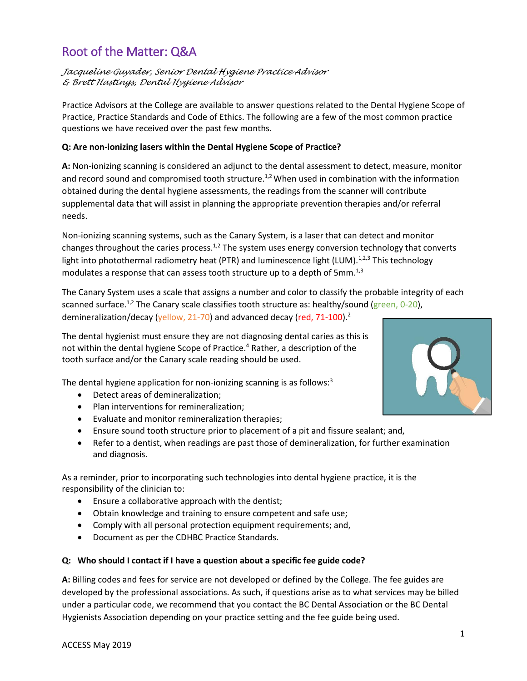# Root of the Matter: Q&A

*Jacqueline Guyader, Senior Dental Hygiene Practice Advisor & Brett Hastings, Dental Hygiene Advisor*

Practice Advisors at the College are available to answer questions related to the Dental Hygiene Scope of Practice, Practice Standards and Code of Ethics. The following are a few of the most common practice questions we have received over the past few months.

## **Q: Are non-ionizing lasers within the Dental Hygiene Scope of Practice?**

**A:** Non-ionizing scanning is considered an adjunct to the dental assessment to detect, measure, monitor and record sound and compromised tooth structure.<sup>1,2</sup> When used in combination with the information obtained during the dental hygiene assessments, the readings from the scanner will contribute supplemental data that will assist in planning the appropriate prevention therapies and/or referral needs.

Non-ionizing scanning systems, such as the Canary System, is a laser that can detect and monitor changes throughout the caries process.<sup>1,2</sup> The system uses energy conversion technology that converts light into photothermal radiometry heat (PTR) and luminescence light (LUM).<sup>1,2,3</sup> This technology modulates a response that can assess tooth structure up to a depth of 5mm. $^{1,3}$ 

The Canary System uses a scale that assigns a number and color to classify the probable integrity of each scanned surface.<sup>1,2</sup> The Canary scale classifies tooth structure as: healthy/sound (green, 0-20), demineralization/decay (yellow, 21-70) and advanced decay (red, 71-100).<sup>2</sup>

The dental hygienist must ensure they are not diagnosing dental caries as this is not within the dental hygiene Scope of Practice.<sup>4</sup> Rather, a description of the tooth surface and/or the Canary scale reading should be used.

The dental hygiene application for non-ionizing scanning is as follows:<sup>3</sup>

- Detect areas of demineralization;
- Plan interventions for remineralization;
- Evaluate and monitor remineralization therapies;
- Ensure sound tooth structure prior to placement of a pit and fissure sealant; and,
- Refer to a dentist, when readings are past those of demineralization, for further examination and diagnosis.

As a reminder, prior to incorporating such technologies into dental hygiene practice, it is the responsibility of the clinician to:

- Ensure a collaborative approach with the dentist;
- Obtain knowledge and training to ensure competent and safe use;
- Comply with all personal protection equipment requirements; and,
- Document as per the CDHBC Practice Standards.

### **Q: Who should I contact if I have a question about a specific fee guide code?**

**A:** Billing codes and fees for service are not developed or defined by the College. The fee guides are developed by the professional associations. As such, if questions arise as to what services may be billed under a particular code, we recommend that you contact the BC Dental Association or the BC Dental Hygienists Association depending on your practice setting and the fee guide being used.

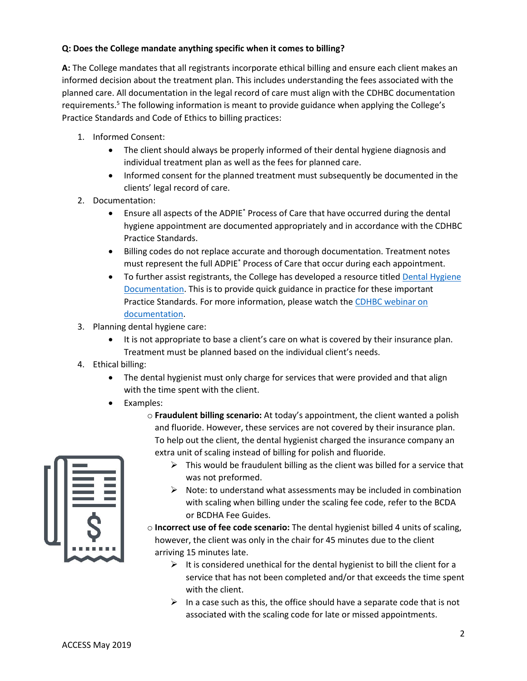## **Q: Does the College mandate anything specific when it comes to billing?**

**A:** The College mandates that all registrants incorporate ethical billing and ensure each client makes an informed decision about the treatment plan. This includes understanding the fees associated with the planned care. All documentation in the legal record of care must align with the CDHBC documentation requirements.<sup>5</sup> The following information is meant to provide guidance when applying the College's Practice Standards and Code of Ethics to billing practices:

- 1. Informed Consent:
	- The client should always be properly informed of their dental hygiene diagnosis and individual treatment plan as well as the fees for planned care.
	- Informed consent for the planned treatment must subsequently be documented in the clients' legal record of care.
- 2. Documentation:
	- Ensure all aspects of the ADPIE\* Process of Care that have occurred during the dental hygiene appointment are documented appropriately and in accordance with the CDHBC Practice Standards.
	- Billing codes do not replace accurate and thorough documentation. Treatment notes must represent the full ADPIE\* Process of Care that occur during each appointment.
	- To further assist registrants, the College has developed a resource titled Dental Hygiene [Documentation.](http://www.cdhbc.com/Professional-Development/Quality-Assurance/Online-Learning-PLan/QAP-Dental-Hygiene-Documentation.aspx) This is to provide quick guidance in practice for these important Practice Standards. For more information, please watch th[e CDHBC webinar on](https://www.youtube.com/watch?v=3ca8aQkIK80) [documentation.](https://www.youtube.com/watch?v=3ca8aQkIK80)
- 3. Planning dental hygiene care:
	- It is not appropriate to base a client's care on what is covered by their insurance plan. Treatment must be planned based on the individual client's needs.
- 4. Ethical billing:
	- The dental hygienist must only charge for services that were provided and that align with the time spent with the client.
	- Examples:
		- o **Fraudulent billing scenario:** At today's appointment, the client wanted a polish and fluoride. However, these services are not covered by their insurance plan. To help out the client, the dental hygienist charged the insurance company an extra unit of scaling instead of billing for polish and fluoride.
- 
- $\triangleright$  This would be fraudulent billing as the client was billed for a service that was not preformed.
- $\triangleright$  Note: to understand what assessments may be included in combination with scaling when billing under the scaling fee code, refer to the BCDA or BCDHA Fee Guides.
- o **Incorrect use of fee code scenario:** The dental hygienist billed 4 units of scaling, however, the client was only in the chair for 45 minutes due to the client arriving 15 minutes late.
	- $\triangleright$  It is considered unethical for the dental hygienist to bill the client for a service that has not been completed and/or that exceeds the time spent with the client.
	- $\triangleright$  In a case such as this, the office should have a separate code that is not associated with the scaling code for late or missed appointments.